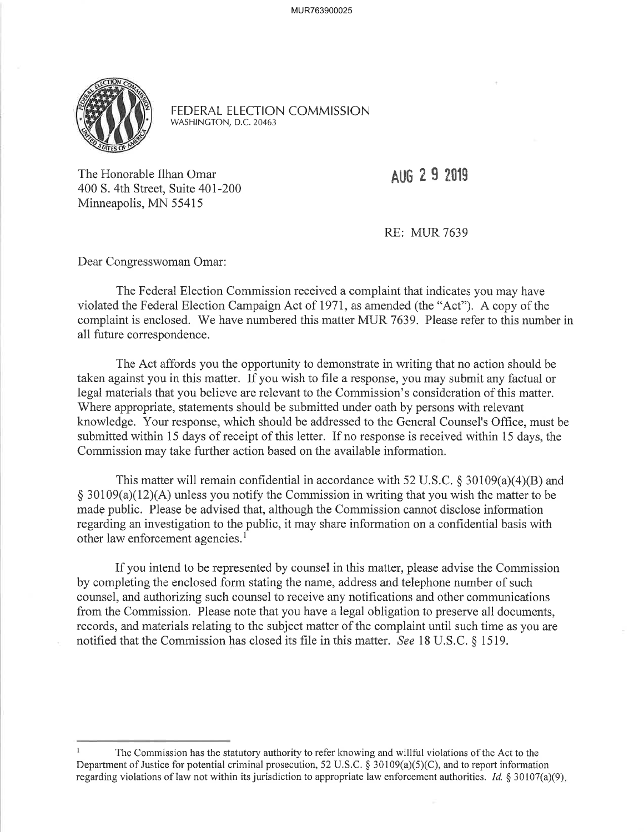

FEDERAL ELECTION COMMISSION WASHINGTON, D.C.20463

The Honorable Ilhan Omar 400 S. 4th Street, Suite 401-200 Minneapolis, MN 55415

**AUG 2 9 2019** 

RE: MUR 7639

Dear Congresswoman Omar:

The Federal Election Commission received a complaint that indicates you may have violated the Federal Election Campaign Act of 197I, as amended (the "Act"). A copy of the complaint is enclosed. We have numbered this matter MUR 7639. Please refer to this number in all future correspondence.

The Act affords you the opportunity to demonstrate in writing that no action should be taken against you in this matter. If you wish to file a response, you may submit any factual or legal materials that you believe are relevant to the Commission's consideration of this matter. Where appropriate, statements should be submitted under oath by persons with relevant knowledge. Your response, which should be addressed to the General Counsel's OfÍice, must be submitted within 15 days of receipt of this letter. If no response is received within 15 days, the Commission may take further action based on the available information.

This matter will remain confidential in accordance with 52 U.S.C.  $\S 30109(a)(4)(B)$  and  $\S 30109(a)(12)(A)$  unless you notify the Commission in writing that you wish the matter to be made public. Please be advised that, although the Commission cannot disclose information regarding an investigation to the public, it may share information on a confidential basis with other law enforcement agencies.<sup>1</sup>

If you intend to be represented by counsel in this matter, please advise the Commission by completing the enclosed form stating the name, address and telephone number of such counsel, and authorizing such counsel to receive any notifications and other communications from the Commission. Please note that you have a legal obligation to preserve all documents, records, and materials relating to the subject matter of the complaint until such time as you are notified that the Commission has closed its file in this matter. See 18 U.S.C. § 1519.

I The Commission has the statutory authority to refer knowing and willful violations of the Act to the Department of Justice for potential criminal prosecution, 52 U.S.C.  $\S$  30109(a)(5)(C), and to report information regarding violations of law not within its jurisdiction to appropriate law enforcement authorities. *Id.*  $\frac{8}{3}$  30107(a)(9).